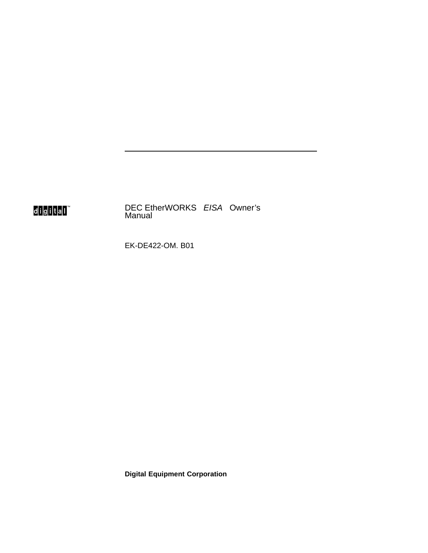## digital"

DEC EtherWORKS EISA Owner's Manual

EK-DE422-OM. B01

**Digital Equipment Corporation**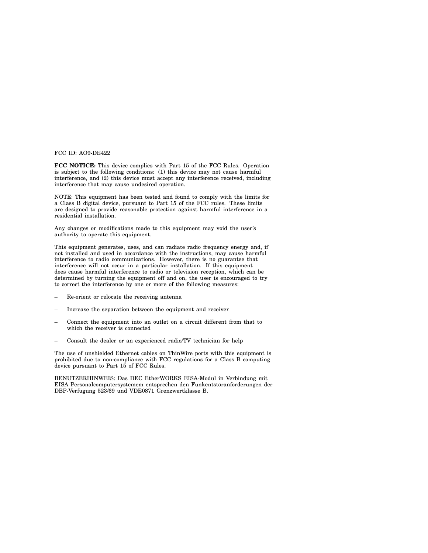FCC ID: AO9-DE422

**FCC NOTICE:** This device complies with Part 15 of the FCC Rules. Operation is subject to the following conditions: (1) this device may not cause harmful interference, and (2) this device must accept any interference received, including interference that may cause undesired operation.

NOTE: This equipment has been tested and found to comply with the limits for a Class B digital device, pursuant to Part 15 of the FCC rules. These limits are designed to provide reasonable protection against harmful interference in a residential installation.

Any changes or modifications made to this equipment may void the user's authority to operate this equipment.

This equipment generates, uses, and can radiate radio frequency energy and, if not installed and used in accordance with the instructions, may cause harmful interference to radio communications. However, there is no guarantee that interference will not occur in a particular installation. If this equipment does cause harmful interference to radio or television reception, which can be determined by turning the equipment off and on, the user is encouraged to try to correct the interference by one or more of the following measures:

- Re-orient or relocate the receiving antenna
- Increase the separation between the equipment and receiver
- Connect the equipment into an outlet on a circuit different from that to which the receiver is connected
- Consult the dealer or an experienced radio/TV technician for help

The use of unshielded Ethernet cables on ThinWire ports with this equipment is prohibited due to non-compliance with FCC regulations for a Class B computing device pursuant to Part 15 of FCC Rules.

BENUTZERHINWEIS: Das DEC EtherWORKS EISA-Modul in Verbindung mit EISA Personalcomputersystemem entsprechen den Funkentstöranforderungen der DBP-Verfugung 523/69 und VDE0871 Grenzwertklasse B.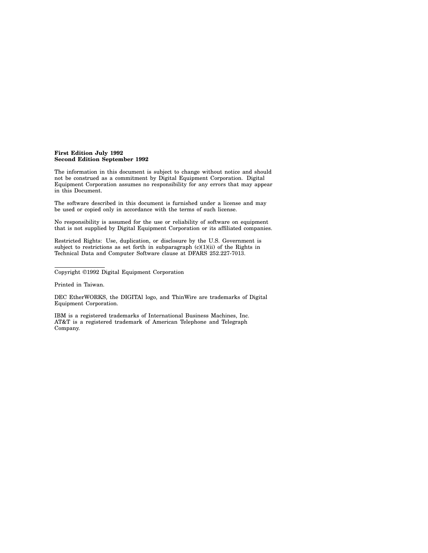#### **First Edition July 1992 Second Edition September 1992**

The information in this document is subject to change without notice and should not be construed as a commitment by Digital Equipment Corporation. Digital Equipment Corporation assumes no responsibility for any errors that may appear in this Document.

The software described in this document is furnished under a license and may be used or copied only in accordance with the terms of such license.

No responsibility is assumed for the use or reliability of software on equipment that is not supplied by Digital Equipment Corporation or its affiliated companies.

Restricted Rights: Use, duplication, or disclosure by the U.S. Government is subject to restrictions as set forth in subparagraph  $(c)(1)(ii)$  of the Rights in Technical Data and Computer Software clause at DFARS 252.227-7013.

Printed in Taiwan.

DEC EtherWORKS, the DIGITAl logo, and ThinWire are trademarks of Digital Equipment Corporation.

IBM is a registered trademarks of International Business Machines, Inc. AT&T is a registered trademark of American Telephone and Telegraph Company.

Copyright ©1992 Digital Equipment Corporation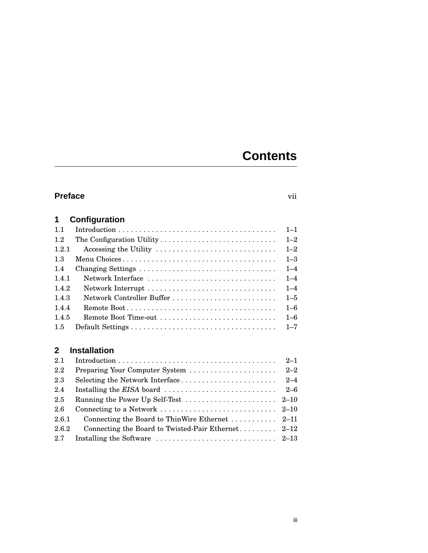## **Contents**

### **Preface** vii

#### **1 Configuration** 1.1 Introduction . . . . . . . . . . . . . . . . . . . . . . . . . . . . . . . . . . . . . . 1–1 1.2 The Configuration Utility . . . . . . . . . . . . . . . . . . . . . . . . . . . . 1–2  $\Delta$ ccessing the Utility

| 1.4.2 |  |
|-------|--|
| 1.4.3 |  |
| 1.4.4 |  |
| 1.4.5 |  |
|       |  |

### **2 Installation**

| 2.1   |                                                                                                |         |
|-------|------------------------------------------------------------------------------------------------|---------|
| 2.2   | Preparing Your Computer System                                                                 | $2 - 2$ |
| 2.3   |                                                                                                |         |
| 2.4   | Installing the <i>EISA</i> board $\ldots \ldots \ldots \ldots \ldots \ldots \ldots \ldots 2-6$ |         |
| 2.5   | Running the Power Up Self-Test $\ldots \ldots \ldots \ldots \ldots \ldots 2-10$                |         |
| 2.6   |                                                                                                |         |
| 2.6.1 |                                                                                                |         |
| 2.6.2 |                                                                                                |         |
| 2.7   | Installing the Software $\ldots \ldots \ldots \ldots \ldots \ldots \ldots \ldots 2-13$         |         |
|       |                                                                                                |         |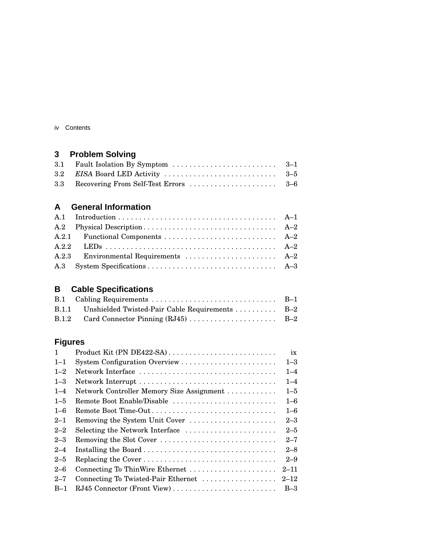| Contents<br>IV |  |
|----------------|--|
|----------------|--|

### **3 Problem Solving**

### **A General Information**

### **B Cable Specifications**

| B.1.1 Unshielded Twisted-Pair Cable Requirements  B-2 |  |
|-------------------------------------------------------|--|
|                                                       |  |

### **Figures**

| Product Kit (PN DE422-SA)                 | ix       |
|-------------------------------------------|----------|
|                                           | $1 - 3$  |
| Network Interface                         | $1 - 4$  |
|                                           | $1 - 4$  |
| Network Controller Memory Size Assignment | $1 - 5$  |
| Remote Boot Enable/Disable                | $1 - 6$  |
| Remote Boot Time-Out                      | $1 - 6$  |
| Removing the System Unit Cover            | $2 - 3$  |
| Selecting the Network Interface           | $2 - 5$  |
| Removing the Slot Cover                   | $2 - 7$  |
|                                           | $2 - 8$  |
|                                           | $2 - 9$  |
| Connecting To ThinWire Ethernet           | $2 - 11$ |
| Connecting To Twisted-Pair Ethernet       | $2 - 12$ |
|                                           | $B-3$    |
|                                           |          |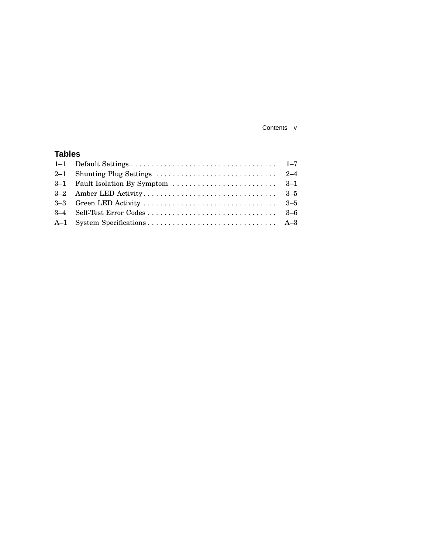Contents v

### **Tables**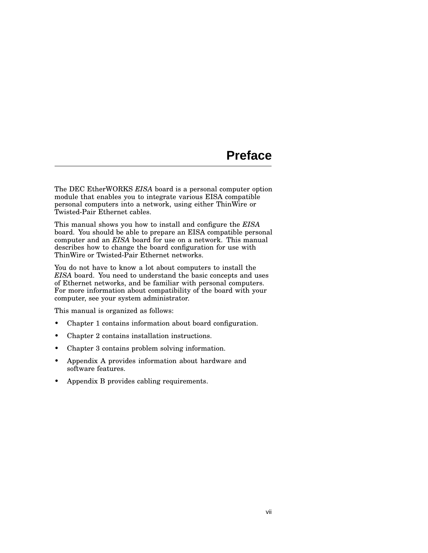### **Preface**

The DEC EtherWORKS *EISA* board is a personal computer option module that enables you to integrate various EISA compatible personal computers into a network, using either ThinWire or Twisted-Pair Ethernet cables.

This manual shows you how to install and configure the *EISA* board. You should be able to prepare an EISA compatible personal computer and an *EISA* board for use on a network. This manual describes how to change the board configuration for use with ThinWire or Twisted-Pair Ethernet networks.

You do not have to know a lot about computers to install the *EISA* board. You need to understand the basic concepts and uses of Ethernet networks, and be familiar with personal computers. For more information about compatibility of the board with your computer, see your system administrator.

This manual is organized as follows:

- Chapter 1 contains information about board configuration.
- Chapter 2 contains installation instructions.
- Chapter 3 contains problem solving information.
- Appendix A provides information about hardware and software features.
- Appendix B provides cabling requirements.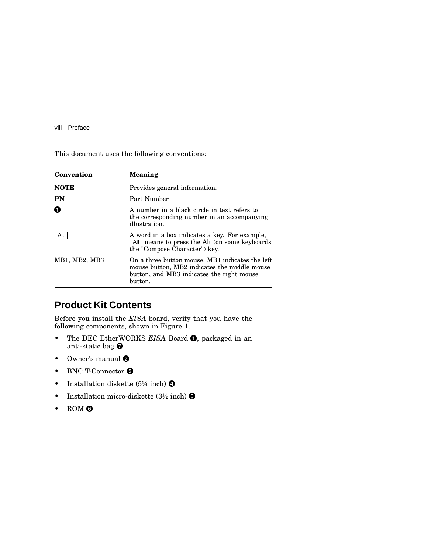#### viii Preface

This document uses the following conventions:

| Convention    | <b>Meaning</b>                                                                                                                                          |
|---------------|---------------------------------------------------------------------------------------------------------------------------------------------------------|
| <b>NOTE</b>   | Provides general information.                                                                                                                           |
| <b>PN</b>     | Part Number.                                                                                                                                            |
| O             | A number in a black circle in text refers to<br>the corresponding number in an accompanying<br>illustration.                                            |
| Alt           | A word in a box indicates a key. For example,<br>Alt means to press the Alt (on some keyboards<br>the "Compose Character") key.                         |
| MB1, MB2, MB3 | On a three button mouse, MB1 indicates the left<br>mouse button, MB2 indicates the middle mouse<br>button, and MB3 indicates the right mouse<br>button. |

### **Product Kit Contents**

Before you install the *EISA* board, verify that you have the following components, shown in Figure 1.

- The DEC EtherWORKS *EISA* Board **O**, packaged in an anti-static bag
- Owner's manual  $\Theta$
- BNC T-Connector <sup>6</sup>
- Installation diskette (5¼ inch)  $\bullet$
- Installation micro-diskette  $(3\frac{1}{2} \text{ inch})$   $\Theta$
- ROM ©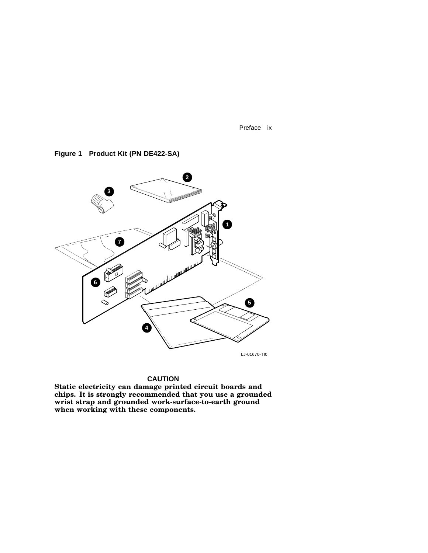Preface ix

**2 3 1 7** .<br>ئىللىللىللىللىللىلىلىلىلىلىل .<br>الملك الملك الملك 8 **6 5 4** LJ-01670-TI0

#### **Figure 1 Product Kit (PN DE422-SA)**

#### **CAUTION**

**Static electricity can damage printed circuit boards and chips. It is strongly recommended that you use a grounded wrist strap and grounded work-surface-to-earth ground when working with these components.**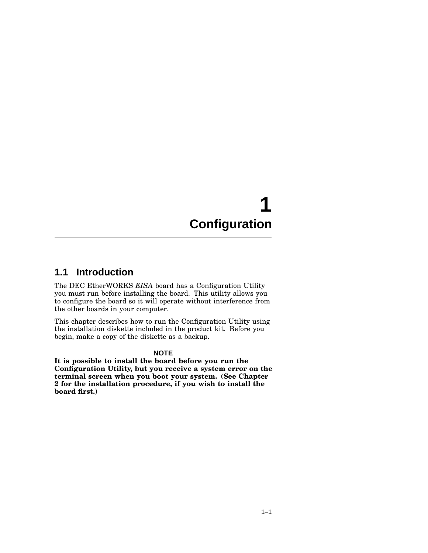# **1 Configuration**

### **1.1 Introduction**

The DEC EtherWORKS *EISA* board has a Configuration Utility you must run before installing the board. This utility allows you to configure the board so it will operate without interference from the other boards in your computer.

This chapter describes how to run the Configuration Utility using the installation diskette included in the product kit. Before you begin, make a copy of the diskette as a backup.

#### **NOTE**

**It is possible to install the board before you run the Configuration Utility, but you receive a system error on the terminal screen when you boot your system. (See Chapter 2 for the installation procedure, if you wish to install the board first.)**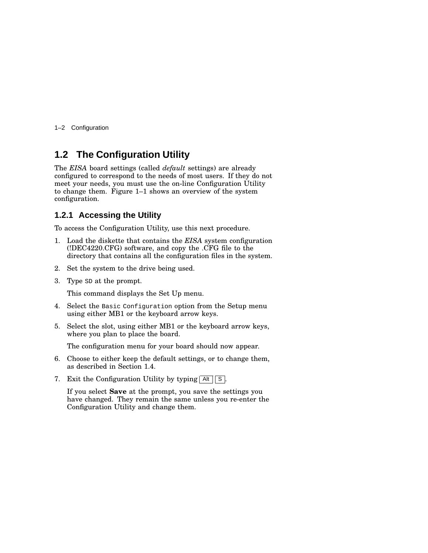1–2 Configuration

### **1.2 The Configuration Utility**

The *EISA* board settings (called *default* settings) are already configured to correspond to the needs of most users. If they do not meet your needs, you must use the on-line Configuration Utility to change them. Figure 1–1 shows an overview of the system configuration.

#### **1.2.1 Accessing the Utility**

To access the Configuration Utility, use this next procedure.

- 1. Load the diskette that contains the *EISA* system configuration (!DEC4220.CFG) software, and copy the .CFG file to the directory that contains all the configuration files in the system.
- 2. Set the system to the drive being used.
- 3. Type SD at the prompt.

This command displays the Set Up menu.

- 4. Select the Basic Configuration option from the Setup menu using either MB1 or the keyboard arrow keys.
- 5. Select the slot, using either MB1 or the keyboard arrow keys, where you plan to place the board.

The configuration menu for your board should now appear.

- 6. Choose to either keep the default settings, or to change them, as described in Section 1.4.
- 7. Exit the Configuration Utility by typing  $\boxed{\mathsf{Alt} \, \boxed{\mathsf{S}}}$ .

If you select **Save** at the prompt, you save the settings you have changed. They remain the same unless you re-enter the Configuration Utility and change them.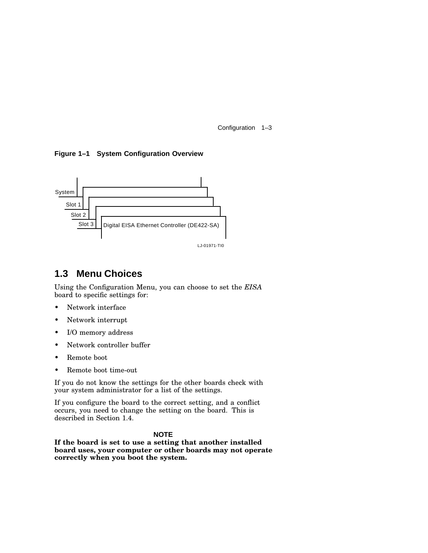Configuration 1–3

**Figure 1–1 System Configuration Overview**



LJ-01971-TI0

### **1.3 Menu Choices**

Using the Configuration Menu, you can choose to set the *EISA* board to specific settings for:

- Network interface
- Network interrupt
- I/O memory address
- Network controller buffer
- Remote boot
- Remote boot time-out

If you do not know the settings for the other boards check with your system administrator for a list of the settings.

If you configure the board to the correct setting, and a conflict occurs, you need to change the setting on the board. This is described in Section 1.4.

#### **NOTE**

**If the board is set to use a setting that another installed board uses, your computer or other boards may not operate correctly when you boot the system.**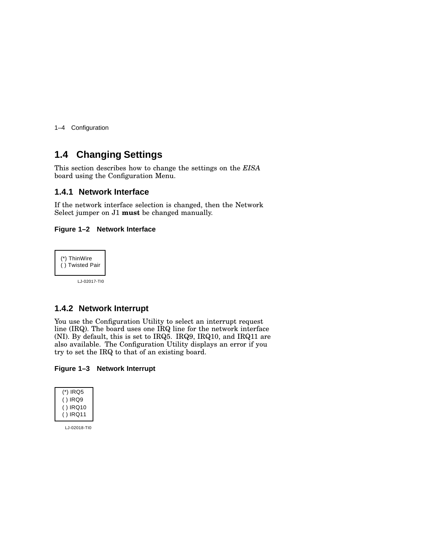1–4 Configuration

### **1.4 Changing Settings**

This section describes how to change the settings on the *EISA* board using the Configuration Menu.

#### **1.4.1 Network Interface**

If the network interface selection is changed, then the Network Select jumper on J1 **must** be changed manually.

#### **Figure 1–2 Network Interface**



LJ-02017-TI0

#### **1.4.2 Network Interrupt**

You use the Configuration Utility to select an interrupt request line (IRQ). The board uses one IRQ line for the network interface (NI). By default, this is set to IRQ5. IRQ9, IRQ10, and IRQ11 are also available. The Configuration Utility displays an error if you try to set the IRQ to that of an existing board.

#### **Figure 1–3 Network Interrupt**

| (*) IRQ5  |
|-----------|
| ( ) IRQ9  |
| ( ) IRQ10 |
| ( ) IRQ11 |

LJ-02018-TI0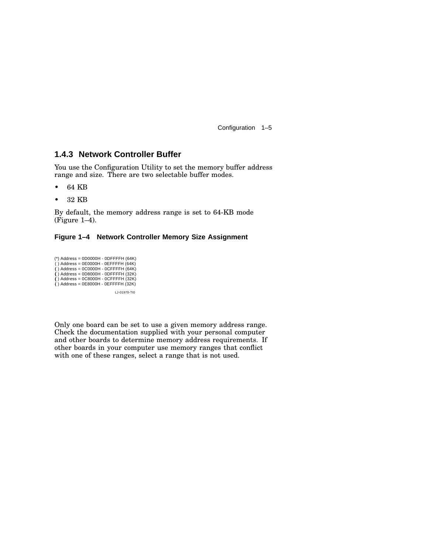Configuration 1–5

#### **1.4.3 Network Controller Buffer**

You use the Configuration Utility to set the memory buffer address range and size. There are two selectable buffer modes.

- 64 KB
- 32 KB

By default, the memory address range is set to 64-KB mode  $(Figure 1-4)$ .

#### **Figure 1–4 Network Controller Memory Size Assignment**

(\*) Address = 0D0000H - 0DFFFFH (64K) ( ) Address = 0E0000H - 0EFFFFH (64K) ( ( ) Address = 0C0000H - 0CFFFFH (64K) ( ( ( ( ) Address = 0D8000H - 0DFFFFH (32K) ( ) Address = 0C8000H - 0CFFFFH (32K) ( ) Address = 0E8000H - 0EFFFFH (32K) LJ-01970-TI0

Only one board can be set to use a given memory address range. Check the documentation supplied with your personal computer and other boards to determine memory address requirements. If other boards in your computer use memory ranges that conflict with one of these ranges, select a range that is not used.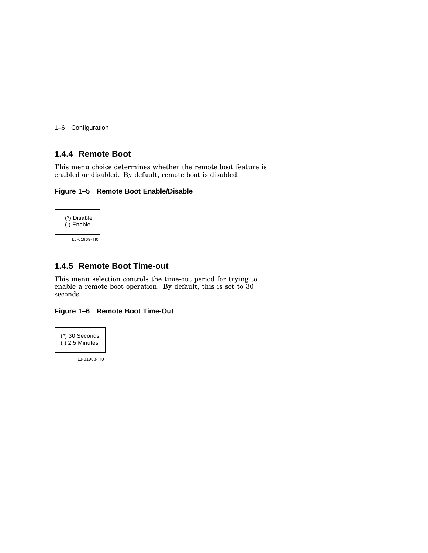1–6 Configuration

#### **1.4.4 Remote Boot**

This menu choice determines whether the remote boot feature is enabled or disabled. By default, remote boot is disabled.

#### **Figure 1–5 Remote Boot Enable/Disable**



#### **1.4.5 Remote Boot Time-out**

This menu selection controls the time-out period for trying to enable a remote boot operation. By default, this is set to 30 seconds.

#### **Figure 1–6 Remote Boot Time-Out**



LJ-01968-TI0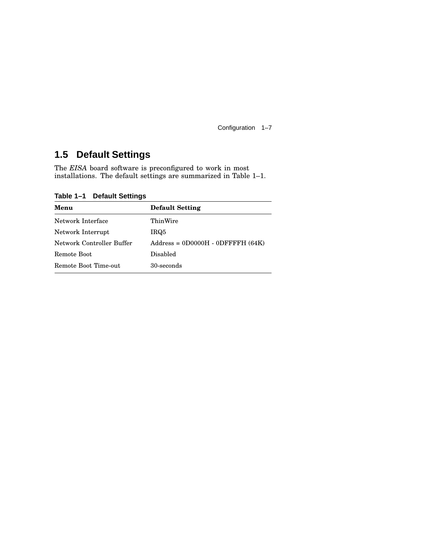Configuration 1–7

### **1.5 Default Settings**

The *EISA* board software is preconfigured to work in most installations. The default settings are summarized in Table 1–1.

**Table 1–1 Default Settings**

| <b>Default Setting</b>              |
|-------------------------------------|
| ThinWire                            |
| IRQ5                                |
| $Address = 0D0000H - 0DFFFFH (64K)$ |
| Disabled                            |
| 30-seconds                          |
|                                     |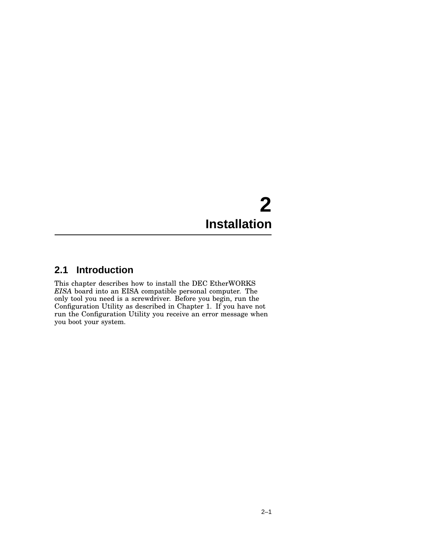## **2 Installation**

### **2.1 Introduction**

This chapter describes how to install the DEC EtherWORKS *EISA* board into an EISA compatible personal computer. The only tool you need is a screwdriver. Before you begin, run the Configuration Utility as described in Chapter 1. If you have not run the Configuration Utility you receive an error message when you boot your system.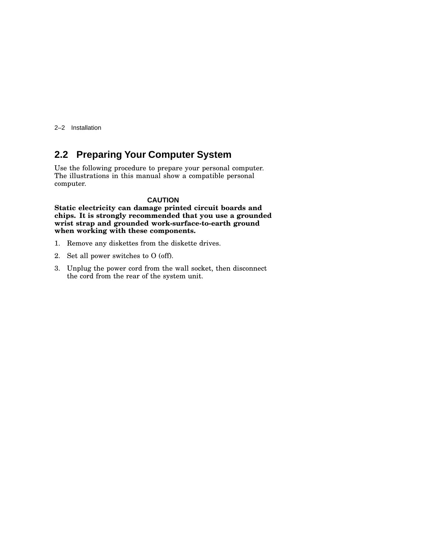2–2 Installation

### **2.2 Preparing Your Computer System**

Use the following procedure to prepare your personal computer. The illustrations in this manual show a compatible personal computer.

#### **CAUTION**

**Static electricity can damage printed circuit boards and chips. It is strongly recommended that you use a grounded wrist strap and grounded work-surface-to-earth ground when working with these components.**

- 1. Remove any diskettes from the diskette drives.
- 2. Set all power switches to O (off).
- 3. Unplug the power cord from the wall socket, then disconnect the cord from the rear of the system unit.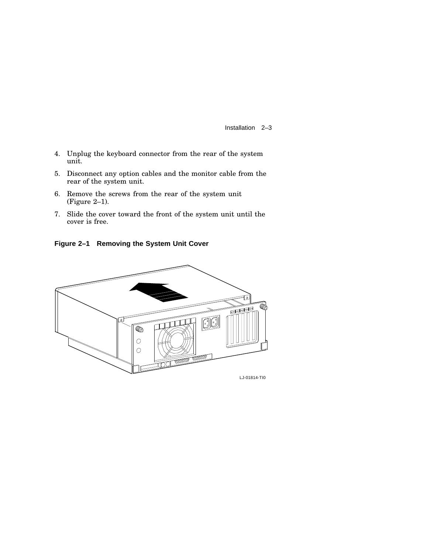Installation 2–3

- 4. Unplug the keyboard connector from the rear of the system unit.
- 5. Disconnect any option cables and the monitor cable from the rear of the system unit.
- 6. Remove the screws from the rear of the system unit (Figure 2–1).
- 7. Slide the cover toward the front of the system unit until the cover is free.

**Figure 2–1 Removing the System Unit Cover**

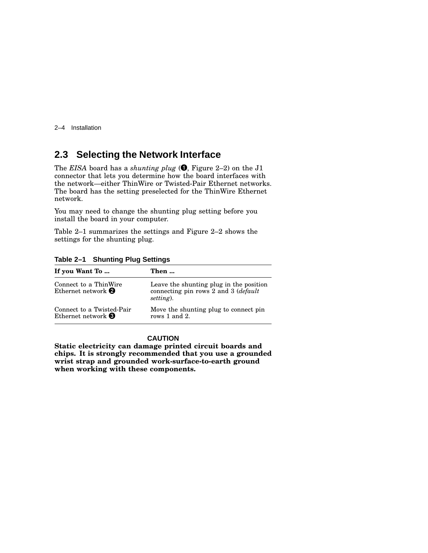2–4 Installation

### **2.3 Selecting the Network Interface**

The *EISA* board has a *shunting plug* ( , Figure 2–2) on the J1 connector that lets you determine how the board interfaces with the network—either ThinWire or Twisted-Pair Ethernet networks. The board has the setting preselected for the ThinWire Ethernet network.

You may need to change the shunting plug setting before you install the board in your computer.

Table 2–1 summarizes the settings and Figure 2–2 shows the settings for the shunting plug.

| If you Want To                                           | Then                                                                                                   |
|----------------------------------------------------------|--------------------------------------------------------------------------------------------------------|
| Connect to a ThinWire<br>Ethernet network $\bullet$      | Leave the shunting plug in the position<br>connecting pin rows 2 and 3 ( <i>default</i> )<br>setting). |
| Connect to a Twisted-Pair<br>Ethernet network $\bigcirc$ | Move the shunting plug to connect pin<br>rows $1$ and $2$ .                                            |

**Table 2–1 Shunting Plug Settings**

#### **CAUTION**

**Static electricity can damage printed circuit boards and chips. It is strongly recommended that you use a grounded wrist strap and grounded work-surface-to-earth ground when working with these components.**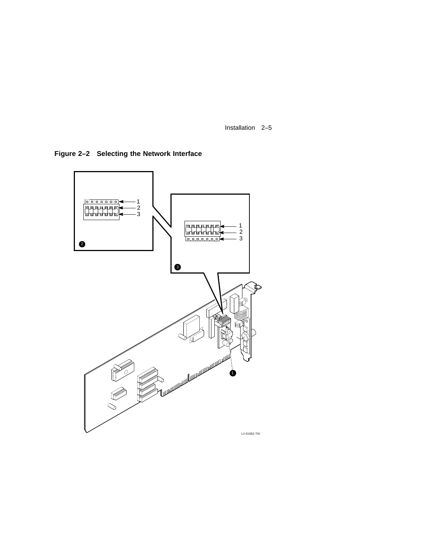Installation 2–5

**Figure 2–2 Selecting the Network Interface**

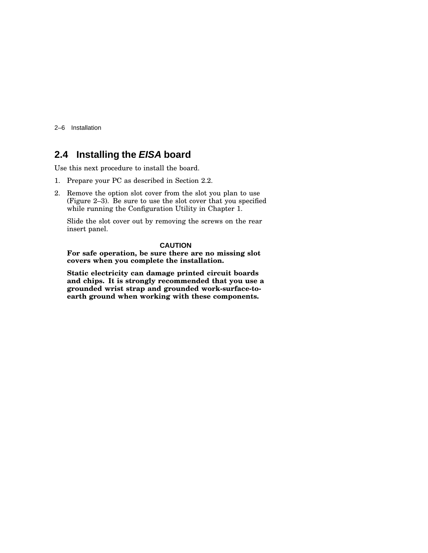2–6 Installation

### **2.4 Installing the EISA board**

Use this next procedure to install the board.

- 1. Prepare your PC as described in Section 2.2.
- 2. Remove the option slot cover from the slot you plan to use (Figure 2–3). Be sure to use the slot cover that you specified while running the Configuration Utility in Chapter 1.

Slide the slot cover out by removing the screws on the rear insert panel.

#### **CAUTION**

**For safe operation, be sure there are no missing slot covers when you complete the installation.**

**Static electricity can damage printed circuit boards and chips. It is strongly recommended that you use a grounded wrist strap and grounded work-surface-toearth ground when working with these components.**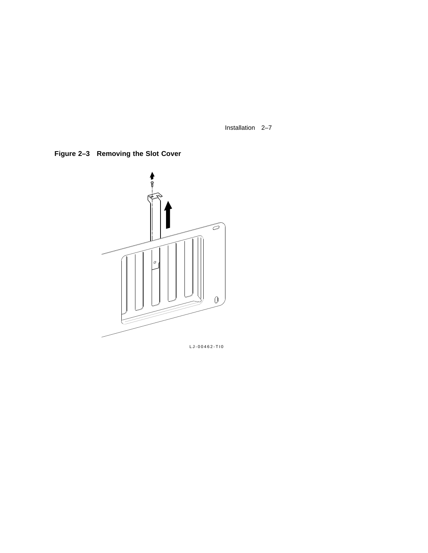Installation 2–7

**Figure 2–3 Removing the Slot Cover**



LJ-00462-TI0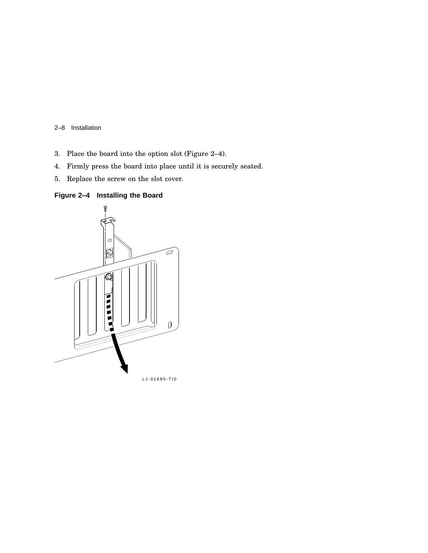2–8 Installation

- 3. Place the board into the option slot (Figure 2–4).
- 4. Firmly press the board into place until it is securely seated.
- 5. Replace the screw on the slot cover.

#### **Figure 2–4 Installing the Board**

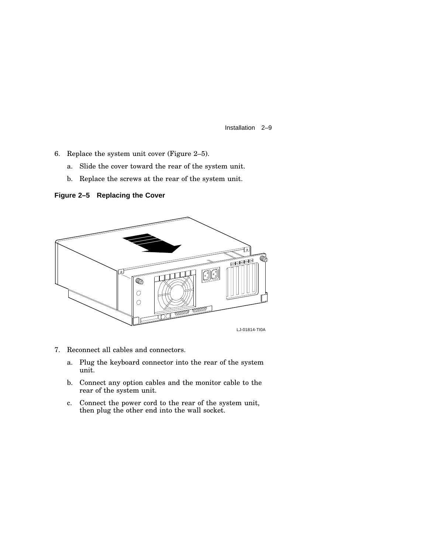Installation 2–9

- 6. Replace the system unit cover (Figure 2–5).
	- a. Slide the cover toward the rear of the system unit.
	- b. Replace the screws at the rear of the system unit.

**Figure 2–5 Replacing the Cover**



- 7. Reconnect all cables and connectors.
	- a. Plug the keyboard connector into the rear of the system unit.
	- b. Connect any option cables and the monitor cable to the rear of the system unit.
	- c. Connect the power cord to the rear of the system unit, then plug the other end into the wall socket.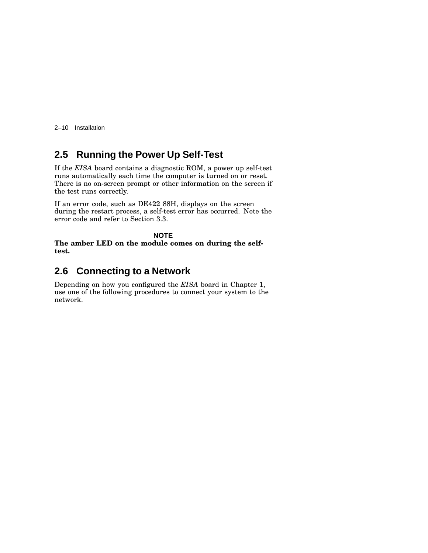2–10 Installation

### **2.5 Running the Power Up Self-Test**

If the *EISA* board contains a diagnostic ROM, a power up self-test runs automatically each time the computer is turned on or reset. There is no on-screen prompt or other information on the screen if the test runs correctly.

If an error code, such as DE422 88H, displays on the screen during the restart process, a self-test error has occurred. Note the error code and refer to Section 3.3.

**NOTE The amber LED on the module comes on during the selftest.**

### **2.6 Connecting to a Network**

Depending on how you configured the *EISA* board in Chapter 1, use one of the following procedures to connect your system to the network.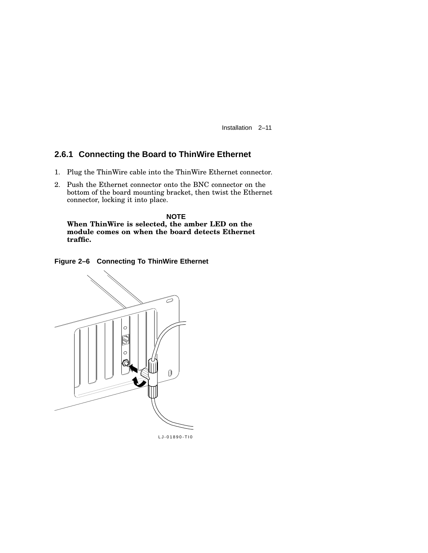Installation 2–11

#### **2.6.1 Connecting the Board to ThinWire Ethernet**

- 1. Plug the ThinWire cable into the ThinWire Ethernet connector.
- 2. Push the Ethernet connector onto the BNC connector on the bottom of the board mounting bracket, then twist the Ethernet connector, locking it into place.

**NOTE When ThinWire is selected, the amber LED on the module comes on when the board detects Ethernet traffic.**





LJ-01890-TI0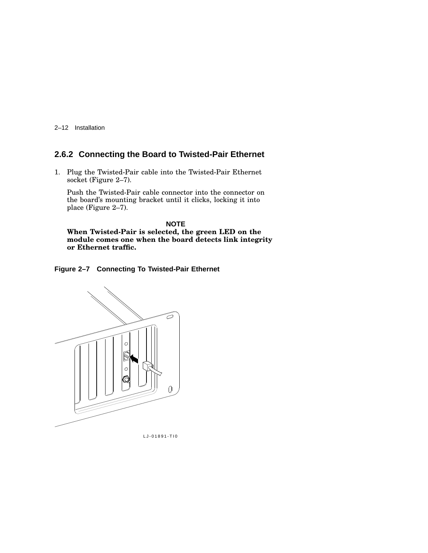2–12 Installation

### **2.6.2 Connecting the Board to Twisted-Pair Ethernet**

1. Plug the Twisted-Pair cable into the Twisted-Pair Ethernet socket (Figure 2–7).

Push the Twisted-Pair cable connector into the connector on the board's mounting bracket until it clicks, locking it into place (Figure 2–7).

**NOTE When Twisted-Pair is selected, the green LED on the module comes one when the board detects link integrity or Ethernet traffic.**

**Figure 2–7 Connecting To Twisted-Pair Ethernet**



LJ-01891-TI0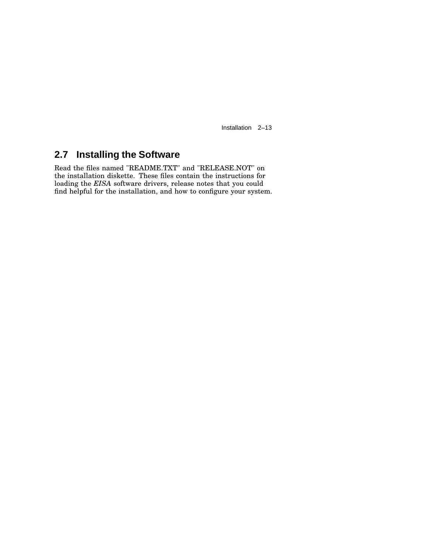Installation 2–13

### **2.7 Installing the Software**

Read the files named "README.TXT" and "RELEASE.NOT" on the installation diskette. These files contain the instructions for loading the *EISA* software drivers, release notes that you could find helpful for the installation, and how to configure your system.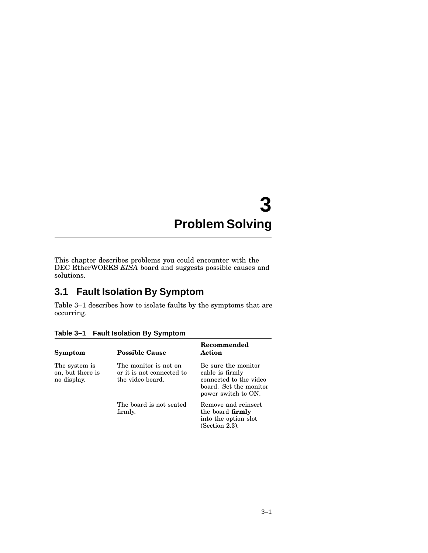## **3 Problem Solving**

This chapter describes problems you could encounter with the DEC EtherWORKS *EISA* board and suggests possible causes and solutions.

### **3.1 Fault Isolation By Symptom**

Table 3–1 describes how to isolate faults by the symptoms that are occurring.

| Symptom                                          | <b>Possible Cause</b>                                                  | Recommended<br>Action                                                                                             |
|--------------------------------------------------|------------------------------------------------------------------------|-------------------------------------------------------------------------------------------------------------------|
| The system is<br>on, but there is<br>no display. | The monitor is not on<br>or it is not connected to<br>the video board. | Be sure the monitor<br>cable is firmly<br>connected to the video<br>board. Set the monitor<br>power switch to ON. |
|                                                  | The board is not seated<br>firmly.                                     | Remove and reinsert<br>the board <b>firmly</b><br>into the option slot<br>(Section 2.3).                          |

**Table 3–1 Fault Isolation By Symptom**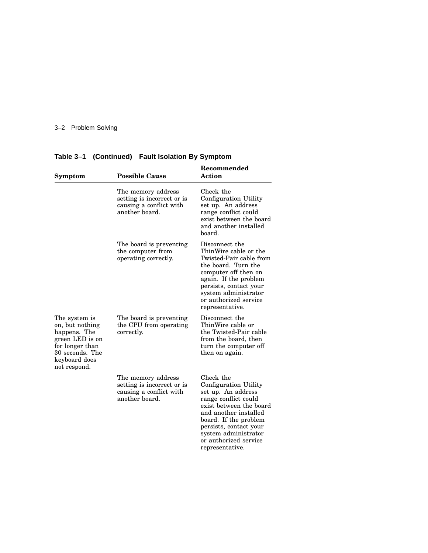### 3–2 Problem Solving

| Symptom                                                                                                                                    | <b>Possible Cause</b>                                                                         | Recommended<br>Action                                                                                                                                                                                                                                       |  |
|--------------------------------------------------------------------------------------------------------------------------------------------|-----------------------------------------------------------------------------------------------|-------------------------------------------------------------------------------------------------------------------------------------------------------------------------------------------------------------------------------------------------------------|--|
|                                                                                                                                            | The memory address<br>setting is incorrect or is<br>causing a conflict with<br>another board. | Check the<br>Configuration Utility<br>set up. An address<br>range conflict could<br>exist between the board<br>and another installed<br>board.                                                                                                              |  |
|                                                                                                                                            | The board is preventing<br>the computer from<br>operating correctly.                          | Disconnect the<br>ThinWire cable or the<br>Twisted-Pair cable from<br>the board. Turn the<br>computer off then on<br>again. If the problem<br>persists, contact your<br>system administrator<br>or authorized service<br>representative.                    |  |
| The system is<br>on, but nothing<br>happens. The<br>green LED is on<br>for longer than<br>30 seconds. The<br>keyboard does<br>not respond. | The board is preventing<br>the CPU from operating<br>correctly.                               | Disconnect the<br>ThinWire cable or<br>the Twisted-Pair cable<br>from the board, then<br>turn the computer off<br>then on again.                                                                                                                            |  |
|                                                                                                                                            | The memory address<br>setting is incorrect or is<br>causing a conflict with<br>another board. | Check the<br>Configuration Utility<br>set up. An address<br>range conflict could<br>exist between the board<br>and another installed<br>board. If the problem<br>persists, contact your<br>system administrator<br>or authorized service<br>representative. |  |

**Table 3–1 (Continued) Fault Isolation By Symptom**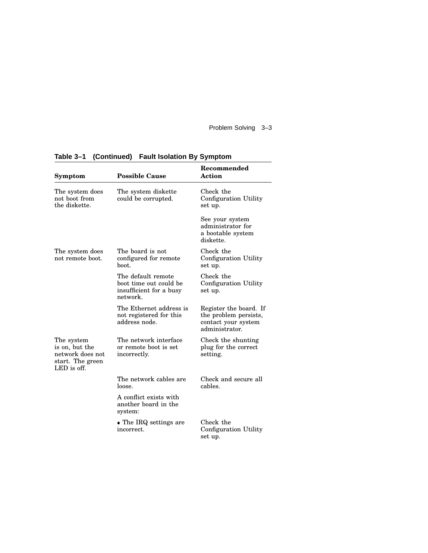Problem Solving 3–3

| Symptom                                                                             | <b>Possible Cause</b>                                                               | Recommended<br><b>Action</b>                                                             |
|-------------------------------------------------------------------------------------|-------------------------------------------------------------------------------------|------------------------------------------------------------------------------------------|
| The system does<br>not boot from<br>the diskette.                                   | The system diskette<br>could be corrupted.                                          | Check the<br>Configuration Utility<br>set up.                                            |
|                                                                                     |                                                                                     | See your system<br>administrator for<br>a bootable system<br>diskette.                   |
| The system does<br>not remote boot.                                                 | The board is not<br>configured for remote<br>boot.                                  | Check the<br>Configuration Utility<br>set up.                                            |
|                                                                                     | The default remote<br>boot time out could be<br>insufficient for a busy<br>network. | Check the<br>Configuration Utility<br>set up.                                            |
|                                                                                     | The Ethernet address is<br>not registered for this<br>address node.                 | Register the board. If<br>the problem persists,<br>contact your system<br>administrator. |
| The system<br>is on, but the<br>network does not<br>start. The green<br>LED is off. | The network interface<br>or remote boot is set<br>incorrectly.                      | Check the shunting<br>plug for the correct<br>setting.                                   |
|                                                                                     | The network cables are<br>loose.                                                    | Check and secure all<br>cables.                                                          |
|                                                                                     | A conflict exists with<br>another board in the<br>system:                           |                                                                                          |
|                                                                                     | • The IRQ settings are<br>incorrect.                                                | Check the<br>Configuration Utility<br>set up.                                            |

### **Table 3–1 (Continued) Fault Isolation By Symptom**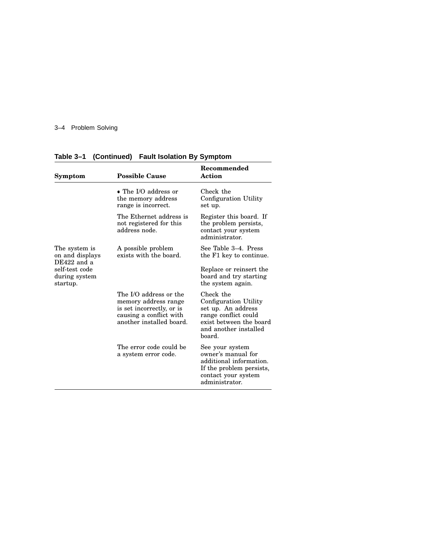### 3–4 Problem Solving

| <b>Possible Cause</b>                                                                                                              | Recommended<br><b>Action</b>                                                                                                                   |  |
|------------------------------------------------------------------------------------------------------------------------------------|------------------------------------------------------------------------------------------------------------------------------------------------|--|
| $\bullet$ The I/O address or<br>the memory address<br>range is incorrect.                                                          | Check the<br>Configuration Utility<br>set up.                                                                                                  |  |
| The Ethernet address is<br>not registered for this<br>address node.                                                                | Register this board. If<br>the problem persists,<br>contact your system<br>administrator.                                                      |  |
| A possible problem<br>exists with the board.                                                                                       | See Table 3–4. Press<br>the F1 key to continue.                                                                                                |  |
|                                                                                                                                    | Replace or reinsert the<br>board and try starting<br>the system again.                                                                         |  |
| The I/O address or the<br>memory address range<br>is set incorrectly, or is<br>causing a conflict with<br>another installed board. | Check the<br>Configuration Utility<br>set up. An address<br>range conflict could<br>exist between the board<br>and another installed<br>board. |  |
| The error code could be<br>a system error code.                                                                                    | See your system<br>owner's manual for<br>additional information.<br>If the problem persists,<br>contact your system<br>administrator.          |  |
|                                                                                                                                    |                                                                                                                                                |  |

**Table 3–1 (Continued) Fault Isolation By Symptom**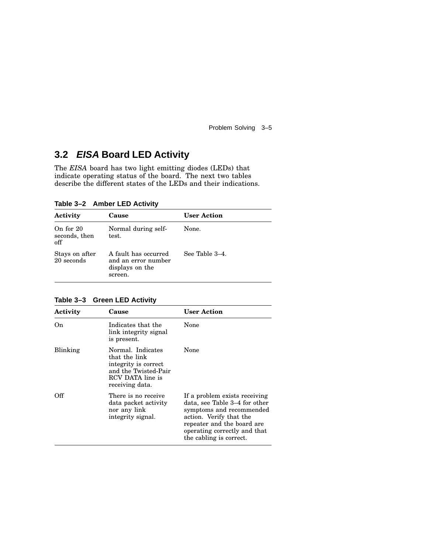Problem Solving 3–5

### **3.2 EISA Board LED Activity**

The *EISA* board has two light emitting diodes (LEDs) that indicate operating status of the board. The next two tables describe the different states of the LEDs and their indications.

**Table 3–2 Amber LED Activity**

| Activity                          | Cause                                                                     | <b>User Action</b> |
|-----------------------------------|---------------------------------------------------------------------------|--------------------|
| On for 20<br>seconds, then<br>off | Normal during self-<br>test.                                              | None.              |
| Stays on after<br>20 seconds      | A fault has occurred<br>and an error number<br>displays on the<br>screen. | See Table 3–4.     |

**Table 3–3 Green LED Activity**

| Activity | Cause                                                                                                                     | <b>User Action</b>                                                                                                                                                                                             |
|----------|---------------------------------------------------------------------------------------------------------------------------|----------------------------------------------------------------------------------------------------------------------------------------------------------------------------------------------------------------|
| On.      | Indicates that the<br>link integrity signal<br>is present.                                                                | None                                                                                                                                                                                                           |
| Blinking | Normal. Indicates<br>that the link<br>integrity is correct<br>and the Twisted-Pair<br>RCV DATA line is<br>receiving data. | None                                                                                                                                                                                                           |
| Off      | There is no receive<br>data packet activity<br>nor any link<br>integrity signal.                                          | If a problem exists receiving<br>data, see Table 3–4 for other<br>symptoms and recommended<br>action. Verify that the<br>repeater and the board are<br>operating correctly and that<br>the cabling is correct. |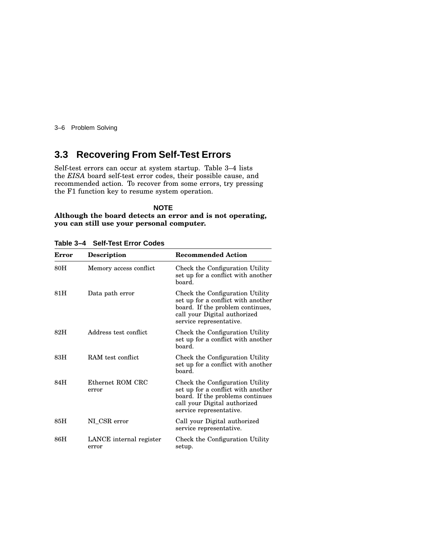3–6 Problem Solving

### **3.3 Recovering From Self-Test Errors**

Self-test errors can occur at system startup. Table 3–4 lists the *EISA* board self-test error codes, their possible cause, and recommended action. To recover from some errors, try pressing the F1 function key to resume system operation.

#### **NOTE Although the board detects an error and is not operating, you can still use your personal computer.**

| Error | <b>Description</b>               | <b>Recommended Action</b>                                                                                                                                            |
|-------|----------------------------------|----------------------------------------------------------------------------------------------------------------------------------------------------------------------|
| 80H   | Memory access conflict           | Check the Configuration Utility<br>set up for a conflict with another<br>board.                                                                                      |
| 81H   | Data path error                  | Check the Configuration Utility<br>set up for a conflict with another<br>board. If the problem continues,<br>call your Digital authorized<br>service representative. |
| 82H   | Address test conflict            | Check the Configuration Utility<br>set up for a conflict with another<br>hoard.                                                                                      |
| 83H   | RAM test conflict.               | Check the Configuration Utility<br>set up for a conflict with another<br>board.                                                                                      |
| 84H   | Ethernet ROM CRC<br>error        | Check the Configuration Utility<br>set up for a conflict with another<br>board. If the problems continues<br>call your Digital authorized<br>service representative. |
| 85H   | NI_CSR error                     | Call your Digital authorized<br>service representative.                                                                                                              |
| 86H   | LANCE internal register<br>error | Check the Configuration Utility<br>setup.                                                                                                                            |

**Table 3–4 Self-Test Error Codes**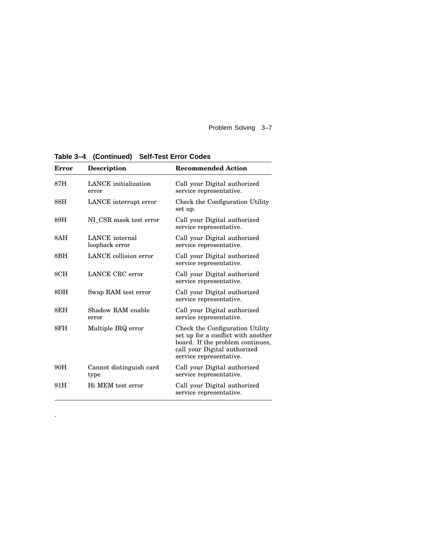Problem Solving 3–7

| Error | <b>Description</b>               | <b>Recommended Action</b>                                                                                                                                            |
|-------|----------------------------------|----------------------------------------------------------------------------------------------------------------------------------------------------------------------|
| 87H   | LANCE initialization<br>error    | Call your Digital authorized<br>service representative.                                                                                                              |
| 88H   | LANCE interrupt error            | Check the Configuration Utility<br>set up.                                                                                                                           |
| 89H   | NI CSR mask test error           | Call your Digital authorized<br>service representative.                                                                                                              |
| 8AH   | LANCE internal<br>loopback error | Call your Digital authorized<br>service representative.                                                                                                              |
| 8BH   | LANCE collision error            | Call your Digital authorized<br>service representative.                                                                                                              |
| 8CH   | LANCE CRC error                  | Call your Digital authorized<br>service representative.                                                                                                              |
| 8DH   | Swap RAM test error              | Call your Digital authorized<br>service representative.                                                                                                              |
| 8EH   | Shadow RAM enable<br>error       | Call your Digital authorized<br>service representative.                                                                                                              |
| 8FH   | Multiple IRQ error               | Check the Configuration Utility<br>set up for a conflict with another<br>board. If the problem continues,<br>call your Digital authorized<br>service representative. |
| 90H   | Cannot distinguish card<br>type  | Call your Digital authorized<br>service representative.                                                                                                              |
| 91H   | Hi MEM test error                | Call your Digital authorized<br>service representative.                                                                                                              |

**Table 3–4 (Continued) Self-Test Error Codes**

.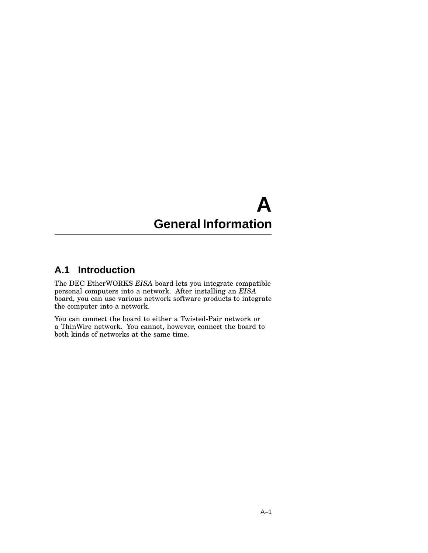## **A General Information**

### **A.1 Introduction**

The DEC EtherWORKS *EISA* board lets you integrate compatible personal computers into a network. After installing an *EISA* board, you can use various network software products to integrate the computer into a network.

You can connect the board to either a Twisted-Pair network or a ThinWire network. You cannot, however, connect the board to both kinds of networks at the same time.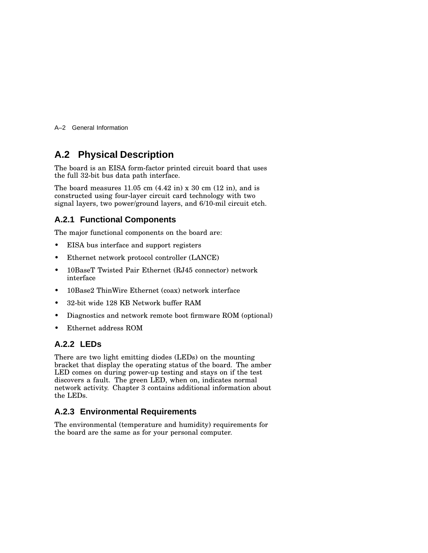A–2 General Information

### **A.2 Physical Description**

The board is an EISA form-factor printed circuit board that uses the full 32-bit bus data path interface.

The board measures  $11.05$  cm  $(4.42 \text{ in}) \times 30$  cm  $(12 \text{ in})$ , and is constructed using four-layer circuit card technology with two signal layers, two power/ground layers, and 6/10-mil circuit etch.

#### **A.2.1 Functional Components**

The major functional components on the board are:

- EISA bus interface and support registers
- Ethernet network protocol controller (LANCE)
- 10BaseT Twisted Pair Ethernet (RJ45 connector) network interface
- 10Base2 ThinWire Ethernet (coax) network interface
- 32-bit wide 128 KB Network buffer RAM
- Diagnostics and network remote boot firmware ROM (optional)
- Ethernet address ROM

#### **A.2.2 LEDs**

There are two light emitting diodes (LEDs) on the mounting bracket that display the operating status of the board. The amber LED comes on during power-up testing and stays on if the test discovers a fault. The green LED, when on, indicates normal network activity. Chapter 3 contains additional information about the LEDs.

#### **A.2.3 Environmental Requirements**

The environmental (temperature and humidity) requirements for the board are the same as for your personal computer.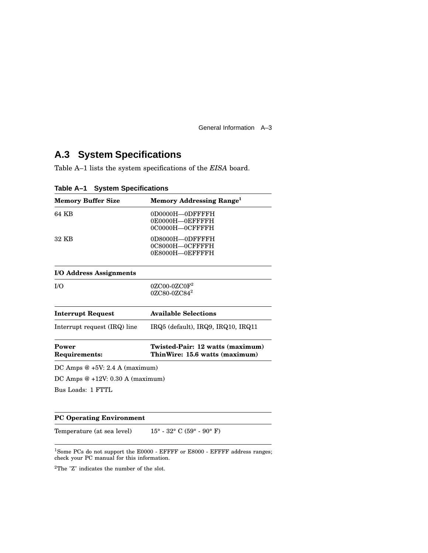General Information A–3

### **A.3 System Specifications**

Table A–1 lists the system specifications of the *EISA* board.

| <b>Memory Buffer Size</b>         | Memory Addressing Range <sup>1</sup>                               |  |
|-----------------------------------|--------------------------------------------------------------------|--|
| 64 KB                             | 0D0000H-0DFFFFH<br>0E0000H-OEFFFFH<br>0C0000H-0CFFFFH              |  |
| 32 KB                             | 0D8000H-0DFFFFH<br>0C8000H-0CFFFFH<br>0E8000H-0EFFFFH              |  |
| I/O Address Assignments           |                                                                    |  |
| I/O                               | $0ZCOO-0ZCOF2$<br>$0ZC80-0ZC84^2$                                  |  |
| <b>Interrupt Request</b>          | <b>Available Selections</b>                                        |  |
| Interrupt request (IRQ) line      | $IRQ5$ (default), $IRQ9$ , $IRQ10$ , $IRQ11$                       |  |
| Power<br>Requirements:            | Twisted-Pair: 12 watts (maximum)<br>ThinWire: 15.6 watts (maximum) |  |
| DC Amps $@+5V: 2.4 A (maximum)$   |                                                                    |  |
| DC Amps $@+12V: 0.30 A (maximum)$ |                                                                    |  |
| Bus Loads: 1 FTTL                 |                                                                    |  |

**Table A–1 System Specifications**

#### **PC Operating Environment**

Temperature (at sea level)  $15^\circ$  -  $32^\circ$  C ( $59^\circ$  -  $90^\circ$  F)

<sup>1</sup>Some PCs do not support the E0000 - EFFFF or E8000 - EFFFF address ranges; check your PC manual for this information.

 $^2\mathrm{The}$   $^{\circ}\mathrm{Z}^{\circ}$  indicates the number of the slot.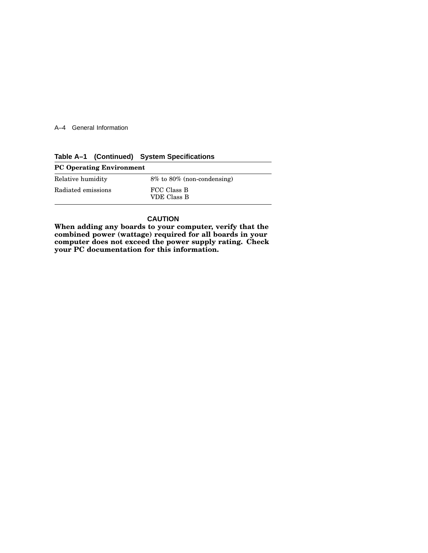A–4 General Information

| Table A-1 (Continued) System Specifications |  |  |
|---------------------------------------------|--|--|
|---------------------------------------------|--|--|

| <b>PC Operating Environment</b> |                                  |  |
|---------------------------------|----------------------------------|--|
| Relative humidity               | $8\%$ to $80\%$ (non-condensing) |  |
| Radiated emissions              | FCC Class B<br>VDE Class B       |  |

#### **CAUTION**

**When adding any boards to your computer, verify that the combined power (wattage) required for all boards in your computer does not exceed the power supply rating. Check your PC documentation for this information.**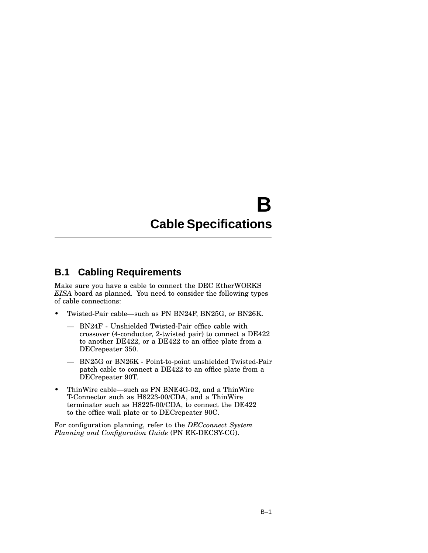## **B Cable Specifications**

### **B.1 Cabling Requirements**

Make sure you have a cable to connect the DEC EtherWORKS *EISA* board as planned. You need to consider the following types of cable connections:

- Twisted-Pair cable—such as PN BN24F, BN25G, or BN26K.
	- BN24F Unshielded Twisted-Pair office cable with crossover (4-conductor, 2-twisted pair) to connect a DE422 to another DE422, or a DE422 to an office plate from a DECrepeater 350.
	- BN25G or BN26K Point-to-point unshielded Twisted-Pair patch cable to connect a DE422 to an office plate from a DECrepeater 90T.
- ThinWire cable—such as PN BNE4G-02, and a ThinWire T-Connector such as H8223-00/CDA, and a ThinWire terminator such as H8225-00/CDA, to connect the DE422 to the office wall plate or to DECrepeater 90C.

For configuration planning, refer to the *DECconnect System Planning and Configuration Guide* (PN EK-DECSY-CG).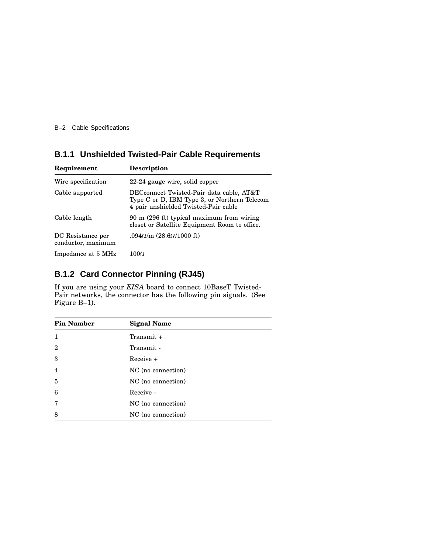B–2 Cable Specifications

### **B.1.1 Unshielded Twisted-Pair Cable Requirements**

| Requirement                             | <b>Description</b>                                                                                                               |
|-----------------------------------------|----------------------------------------------------------------------------------------------------------------------------------|
| Wire specification                      | 22-24 gauge wire, solid copper                                                                                                   |
| Cable supported                         | DECconnect Twisted-Pair data cable, AT&T<br>Type C or D, IBM Type 3, or Northern Telecom<br>4 pair unshielded Twisted-Pair cable |
| Cable length                            | 90 m (296 ft) typical maximum from wiring<br>closet or Satellite Equipment Room to office.                                       |
| DC Resistance per<br>conductor, maximum | .094Q/m (28.6Q/1000 ft)                                                                                                          |
| Impedance at 5 MHz                      | 100 $\Omega$                                                                                                                     |

### **B.1.2 Card Connector Pinning (RJ45)**

If you are using your *EISA* board to connect 10BaseT Twisted-Pair networks, the connector has the following pin signals. (See Figure B–1).

| <b>Pin Number</b> | <b>Signal Name</b> |
|-------------------|--------------------|
| $\mathbf{1}$      | Transmit $+$       |
| $\mathbf{2}$      | Transmit -         |
| 3                 | Receive +          |
| $\overline{4}$    | NC (no connection) |
| 5                 | NC (no connection) |
| 6                 | Receive -          |
| 7                 | NC (no connection) |
| 8                 | NC (no connection) |